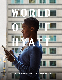**Unlock convenience with Hyatt Mobile Entry**

**AVEN**